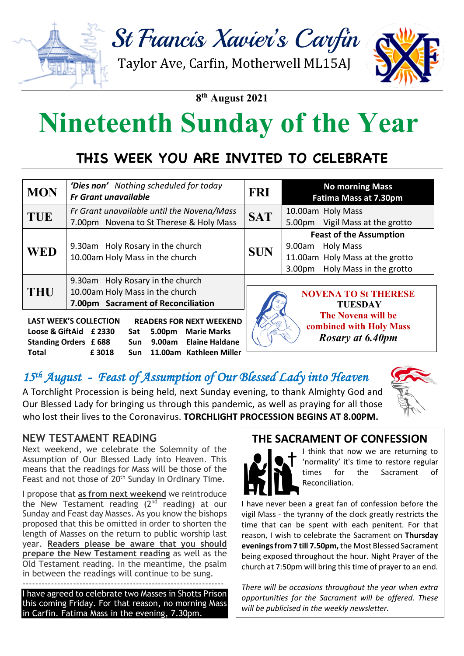

**8th August 2021**

# **Nineteenth Sunday of the Year**

# **THIS WEEK YOU ARE INVITED TO CELEBRATE**

| <b>MON</b>                                                                                                                                                                                                | 'Dies non' Nothing scheduled for today<br><b>Fr Grant unavailable</b>                                     | <b>FRI</b> | <b>No morning Mass</b><br><b>Fatima Mass at 7.30pm</b>                                                                                           |
|-----------------------------------------------------------------------------------------------------------------------------------------------------------------------------------------------------------|-----------------------------------------------------------------------------------------------------------|------------|--------------------------------------------------------------------------------------------------------------------------------------------------|
| <b>TUE</b>                                                                                                                                                                                                | Fr Grant unavailable until the Novena/Mass<br>7.00pm Novena to St Therese & Holy Mass                     | <b>SAT</b> | 10.00am Holy Mass<br>Vigil Mass at the grotto<br>5.00pm                                                                                          |
| <b>WED</b>                                                                                                                                                                                                | 9.30am Holy Rosary in the church<br>10.00am Holy Mass in the church                                       | <b>SUN</b> | <b>Feast of the Assumption</b><br><b>Holy Mass</b><br>9.00am<br>11.00am Holy Mass at the grotto<br>Holy Mass in the grotto<br>3.00 <sub>pm</sub> |
| <b>THU</b>                                                                                                                                                                                                | 9.30am Holy Rosary in the church<br>10.00am Holy Mass in the church<br>7.00pm Sacrament of Reconciliation |            | <b>NOVENA TO St THERESE</b><br><b>TUESDAY</b>                                                                                                    |
| <b>LAST WEEK'S COLLECTION</b><br><b>READERS FOR NEXT WEEKEND</b><br>Loose & GiftAid £2330<br><b>Marie Marks</b><br>5.00pm<br>Sat<br><b>Elaine Haldane</b><br><b>Standing Orders £688</b><br>9.00am<br>Sun |                                                                                                           |            | The Novena will be<br>combined with Holy Mass<br><b>Rosary at 6.40pm</b>                                                                         |

#### 15<sup>th</sup> August - Feast of Assumption of Our Blessed Lady into Heaven **Contactless** *(Grotto***) £ 25**

 **Sun 11.00am Kathleen Miller**

A Torchlight Procession is being held, next Sunday evening, to thank Almighty God and Our Blessed Lady for bringing us through this pandemic, as well as praying for all those porch. *Thank you* who lost their lives to the Coronavirus. **TORCHLIGHT PROCESSION BEGINS AT 8.00PM.**

#### **NEW TESTAMENT READING**

**Total £ 3018**

Next weekend, we celebrate the Solemnity of the Assumption of Our Blessed Lady into Heaven. This means that the readings for Mass will be those of the Feast and not those of 20<sup>th</sup> Sunday in Ordinary Time.

I propose that **as from next weekend** we reintroduce the New Testament reading  $(2^{nd}$  reading) at our Sunday and Feast day Masses. As you know the bishops proposed that this be omitted in order to shorten the length of Masses on the return to public worship last year. **Readers please be aware that you should prepare the New Testament reading** as well as the Old Testament reading. In the meantime, the psalm in between the readings will continue to be sung. ----------------------------------------------------------------

I have agreed to celebrate two Masses in Shotts Prison this coming Friday. For that reason, no morning Mass in Carfin. Fatima Mass in the evening, 7.30pm.

#### **THE SACRAMENT OF CONFESSION**



I think that now we are returning to 'normality' it's time to restore regular times for the Sacrament of Reconciliation.

I have never been a great fan of confession before the vigil Mass - the tyranny of the clock greatly restricts the time that can be spent with each penitent. For that reason, I wish to celebrate the Sacrament on **Thursday evenings from 7 till 7.50pm,** the Most Blessed Sacrament being exposed throughout the hour. Night Prayer of the church at 7:50pm will bring this time of prayer to an end.

*There will be occasions throughout the year when extra opportunities for the Sacrament will be offered. These will be publicised in the weekly newsletter.*